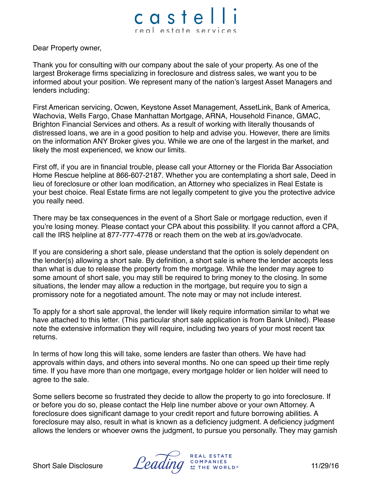## castel real estate services

Dear Property owner,

Thank you for consulting with our company about the sale of your property. As one of the largest Brokerage firms specializing in foreclosure and distress sales, we want you to be informed about your position. We represent many of the nation's largest Asset Managers and lenders including:

First American servicing, Ocwen, Keystone Asset Management, AssetLink, Bank of America, Wachovia, Wells Fargo, Chase Manhattan Mortgage, ARNA, Household Finance, GMAC, Brighton Financial Services and others. As a result of working with literally thousands of distressed loans, we are in a good position to help and advise you. However, there are limits on the information ANY Broker gives you. While we are one of the largest in the market, and likely the most experienced, we know our limits.

First off, if you are in financial trouble, please call your Attorney or the Florida Bar Association Home Rescue helpline at 866-607-2187. Whether you are contemplating a short sale, Deed in lieu of foreclosure or other loan modification, an Attorney who specializes in Real Estate is your best choice. Real Estate firms are not legally competent to give you the protective advice you really need.

There may be tax consequences in the event of a Short Sale or mortgage reduction, even if you're losing money. Please contact your CPA about this possibility. If you cannot afford a CPA, call the IRS helpline at 877-777-4778 or reach them on the web at irs.gov/advocate.

If you are considering a short sale, please understand that the option is solely dependent on the lender(s) allowing a short sale. By definition, a short sale is where the lender accepts less than what is due to release the property from the mortgage. While the lender may agree to some amount of short sale, you may still be required to bring money to the closing. In some situations, the lender may allow a reduction in the mortgage, but require you to sign a promissory note for a negotiated amount. The note may or may not include interest.

To apply for a short sale approval, the lender will likely require information similar to what we have attached to this letter. (This particular short sale application is from Bank United). Please note the extensive information they will require, including two years of your most recent tax returns.

In terms of how long this will take, some lenders are faster than others. We have had approvals within days, and others into several months. No one can speed up their time reply time. If you have more than one mortgage, every mortgage holder or lien holder will need to agree to the sale.

Some sellers become so frustrated they decide to allow the property to go into foreclosure. If or before you do so, please contact the Help line number above or your own Attorney. A foreclosure does significant damage to your credit report and future borrowing abilities. A foreclosure may also, result in what is known as a deficiency judgment. A deficiency judgment allows the lenders or whoever owns the judgment, to pursue you personally. They may garnish

**REAL ESTATE** Short Sale Disclosure  $\mathcal{L}eading \stackrel{\text{COMPANIES}}{P}$  The Worlds